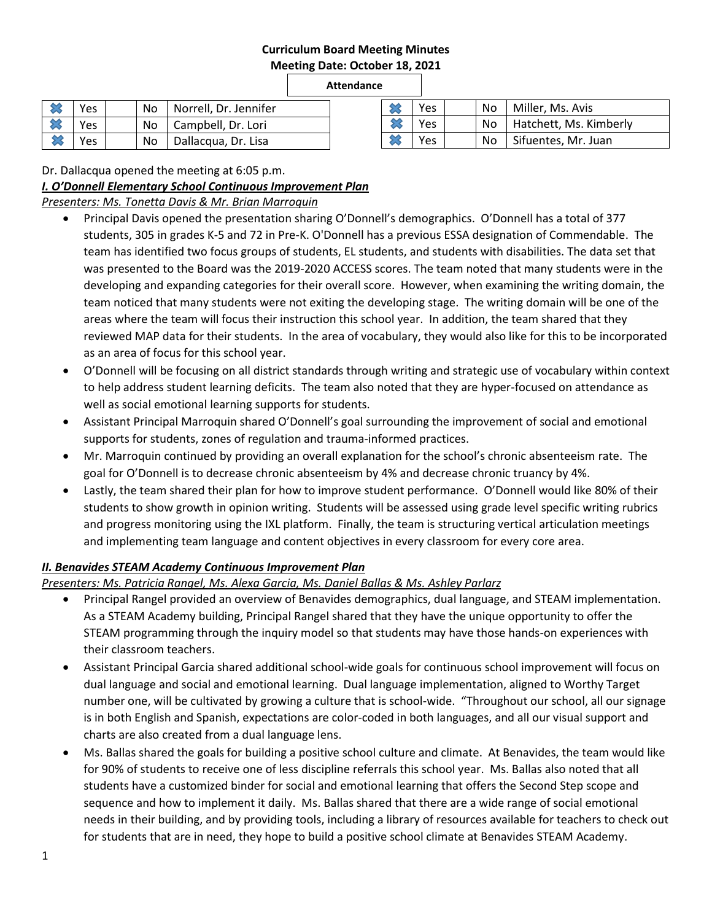### **Curriculum Board Meeting Minutes Meeting Date: October 18, 2021**

### **Attendance**

|           | Yes        | No. | Norrell, Dr. Jennifer    |
|-----------|------------|-----|--------------------------|
|           | <b>Yes</b> |     | No   Campbell, Dr. Lori  |
| <b>83</b> | Yes        |     | No   Dallacqua, Dr. Lisa |

|  | Yes | No. | Miller, Ms. Avis            |
|--|-----|-----|-----------------------------|
|  | Yes |     | No   Hatchett, Ms. Kimberly |
|  | Yes | No. | Sifuentes, Mr. Juan         |

Dr. Dallacqua opened the meeting at 6:05 p.m.

### *I. O'Donnell Elementary School Continuous Improvement Plan*

## *Presenters: Ms. Tonetta Davis & Mr. Brian Marroquin*

- Principal Davis opened the presentation sharing O'Donnell's demographics. O'Donnell has a total of 377 students, 305 in grades K-5 and 72 in Pre-K. O'Donnell has a previous ESSA designation of Commendable. The team has identified two focus groups of students, EL students, and students with disabilities. The data set that was presented to the Board was the 2019-2020 ACCESS scores. The team noted that many students were in the developing and expanding categories for their overall score. However, when examining the writing domain, the team noticed that many students were not exiting the developing stage. The writing domain will be one of the areas where the team will focus their instruction this school year. In addition, the team shared that they reviewed MAP data for their students. In the area of vocabulary, they would also like for this to be incorporated as an area of focus for this school year.
- O'Donnell will be focusing on all district standards through writing and strategic use of vocabulary within context to help address student learning deficits. The team also noted that they are hyper-focused on attendance as well as social emotional learning supports for students.
- Assistant Principal Marroquin shared O'Donnell's goal surrounding the improvement of social and emotional supports for students, zones of regulation and trauma-informed practices.
- Mr. Marroquin continued by providing an overall explanation for the school's chronic absenteeism rate. The goal for O'Donnell is to decrease chronic absenteeism by 4% and decrease chronic truancy by 4%.
- Lastly, the team shared their plan for how to improve student performance. O'Donnell would like 80% of their students to show growth in opinion writing. Students will be assessed using grade level specific writing rubrics and progress monitoring using the IXL platform. Finally, the team is structuring vertical articulation meetings and implementing team language and content objectives in every classroom for every core area.

## *II. Benavides STEAM Academy Continuous Improvement Plan*

*Presenters: Ms. Patricia Rangel, Ms. Alexa Garcia, Ms. Daniel Ballas & Ms. Ashley Parlarz*

- Principal Rangel provided an overview of Benavides demographics, dual language, and STEAM implementation. As a STEAM Academy building, Principal Rangel shared that they have the unique opportunity to offer the STEAM programming through the inquiry model so that students may have those hands-on experiences with their classroom teachers.
- Assistant Principal Garcia shared additional school-wide goals for continuous school improvement will focus on dual language and social and emotional learning. Dual language implementation, aligned to Worthy Target number one, will be cultivated by growing a culture that is school-wide. "Throughout our school, all our signage is in both English and Spanish, expectations are color-coded in both languages, and all our visual support and charts are also created from a dual language lens.
- Ms. Ballas shared the goals for building a positive school culture and climate. At Benavides, the team would like for 90% of students to receive one of less discipline referrals this school year. Ms. Ballas also noted that all students have a customized binder for social and emotional learning that offers the Second Step scope and sequence and how to implement it daily. Ms. Ballas shared that there are a wide range of social emotional needs in their building, and by providing tools, including a library of resources available for teachers to check out for students that are in need, they hope to build a positive school climate at Benavides STEAM Academy.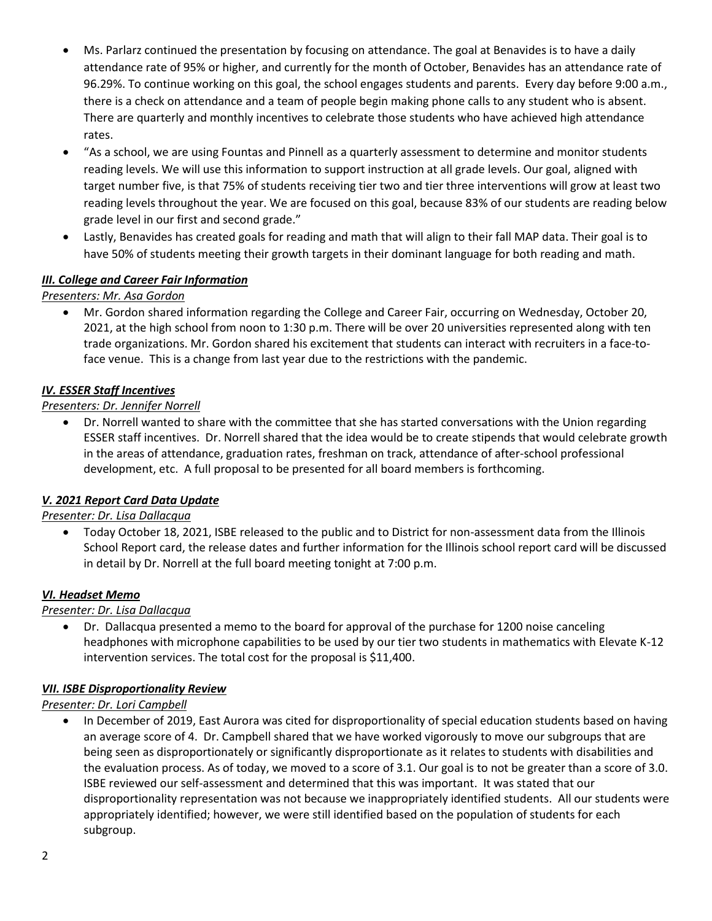- Ms. Parlarz continued the presentation by focusing on attendance. The goal at Benavides is to have a daily attendance rate of 95% or higher, and currently for the month of October, Benavides has an attendance rate of 96.29%. To continue working on this goal, the school engages students and parents. Every day before 9:00 a.m., there is a check on attendance and a team of people begin making phone calls to any student who is absent. There are quarterly and monthly incentives to celebrate those students who have achieved high attendance rates.
- "As a school, we are using Fountas and Pinnell as a quarterly assessment to determine and monitor students reading levels. We will use this information to support instruction at all grade levels. Our goal, aligned with target number five, is that 75% of students receiving tier two and tier three interventions will grow at least two reading levels throughout the year. We are focused on this goal, because 83% of our students are reading below grade level in our first and second grade."
- Lastly, Benavides has created goals for reading and math that will align to their fall MAP data. Their goal is to have 50% of students meeting their growth targets in their dominant language for both reading and math.

# *III. College and Career Fair Information*

*Presenters: Mr. Asa Gordon*

 Mr. Gordon shared information regarding the College and Career Fair, occurring on Wednesday, October 20, 2021, at the high school from noon to 1:30 p.m. There will be over 20 universities represented along with ten trade organizations. Mr. Gordon shared his excitement that students can interact with recruiters in a face-toface venue. This is a change from last year due to the restrictions with the pandemic.

## *IV. ESSER Staff Incentives*

### *Presenters: Dr. Jennifer Norrell*

 Dr. Norrell wanted to share with the committee that she has started conversations with the Union regarding ESSER staff incentives. Dr. Norrell shared that the idea would be to create stipends that would celebrate growth in the areas of attendance, graduation rates, freshman on track, attendance of after-school professional development, etc. A full proposal to be presented for all board members is forthcoming.

#### *V. 2021 Report Card Data Update*

*Presenter: Dr. Lisa Dallacqua*

 Today October 18, 2021, ISBE released to the public and to District for non-assessment data from the Illinois School Report card, the release dates and further information for the Illinois school report card will be discussed in detail by Dr. Norrell at the full board meeting tonight at 7:00 p.m.

#### *VI. Headset Memo*

#### *Presenter: Dr. Lisa Dallacqua*

 Dr. Dallacqua presented a memo to the board for approval of the purchase for 1200 noise canceling headphones with microphone capabilities to be used by our tier two students in mathematics with Elevate K-12 intervention services. The total cost for the proposal is \$11,400.

#### *VII. ISBE Disproportionality Review*

*Presenter: Dr. Lori Campbell*

 In December of 2019, East Aurora was cited for disproportionality of special education students based on having an average score of 4. Dr. Campbell shared that we have worked vigorously to move our subgroups that are being seen as disproportionately or significantly disproportionate as it relates to students with disabilities and the evaluation process. As of today, we moved to a score of 3.1. Our goal is to not be greater than a score of 3.0. ISBE reviewed our self-assessment and determined that this was important. It was stated that our disproportionality representation was not because we inappropriately identified students. All our students were appropriately identified; however, we were still identified based on the population of students for each subgroup.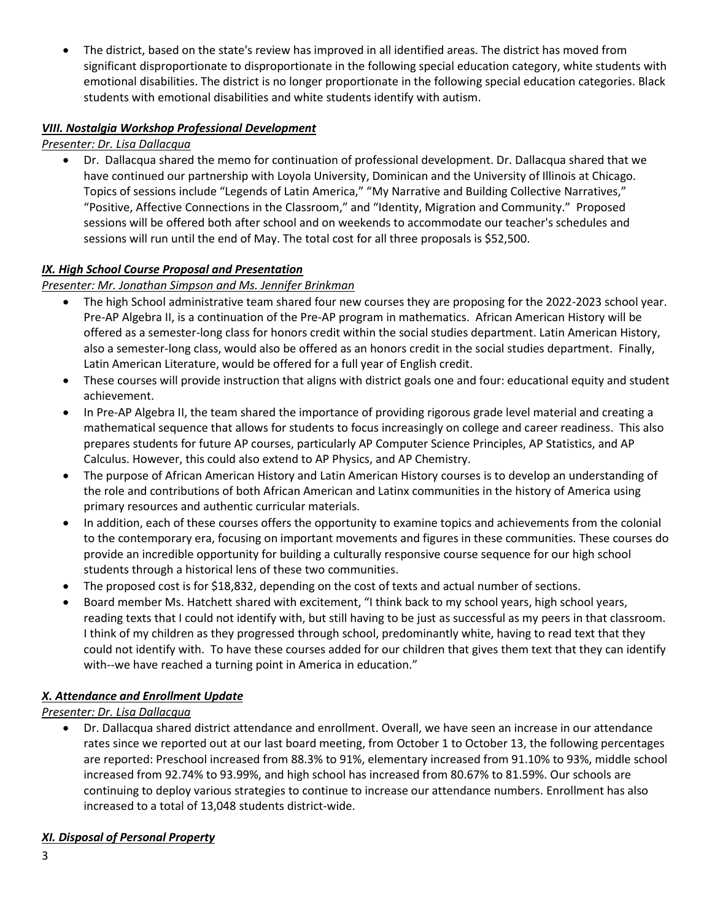The district, based on the state's review has improved in all identified areas. The district has moved from significant disproportionate to disproportionate in the following special education category, white students with emotional disabilities. The district is no longer proportionate in the following special education categories. Black students with emotional disabilities and white students identify with autism.

# *VIII. Nostalgia Workshop Professional Development*

## *Presenter: Dr. Lisa Dallacqua*

 Dr. Dallacqua shared the memo for continuation of professional development. Dr. Dallacqua shared that we have continued our partnership with Loyola University, Dominican and the University of Illinois at Chicago. Topics of sessions include "Legends of Latin America," "My Narrative and Building Collective Narratives," "Positive, Affective Connections in the Classroom," and "Identity, Migration and Community." Proposed sessions will be offered both after school and on weekends to accommodate our teacher's schedules and sessions will run until the end of May. The total cost for all three proposals is \$52,500.

## *IX. High School Course Proposal and Presentation*

*Presenter: Mr. Jonathan Simpson and Ms. Jennifer Brinkman*

- The high School administrative team shared four new courses they are proposing for the 2022-2023 school year. Pre-AP Algebra II, is a continuation of the Pre-AP program in mathematics. African American History will be offered as a semester-long class for honors credit within the social studies department. Latin American History, also a semester-long class, would also be offered as an honors credit in the social studies department. Finally, Latin American Literature, would be offered for a full year of English credit.
- These courses will provide instruction that aligns with district goals one and four: educational equity and student achievement.
- In Pre-AP Algebra II, the team shared the importance of providing rigorous grade level material and creating a mathematical sequence that allows for students to focus increasingly on college and career readiness. This also prepares students for future AP courses, particularly AP Computer Science Principles, AP Statistics, and AP Calculus. However, this could also extend to AP Physics, and AP Chemistry.
- The purpose of African American History and Latin American History courses is to develop an understanding of the role and contributions of both African American and Latinx communities in the history of America using primary resources and authentic curricular materials.
- In addition, each of these courses offers the opportunity to examine topics and achievements from the colonial to the contemporary era, focusing on important movements and figures in these communities. These courses do provide an incredible opportunity for building a culturally responsive course sequence for our high school students through a historical lens of these two communities.
- The proposed cost is for \$18,832, depending on the cost of texts and actual number of sections.
- Board member Ms. Hatchett shared with excitement, "I think back to my school years, high school years, reading texts that I could not identify with, but still having to be just as successful as my peers in that classroom. I think of my children as they progressed through school, predominantly white, having to read text that they could not identify with. To have these courses added for our children that gives them text that they can identify with--we have reached a turning point in America in education."

## *X. Attendance and Enrollment Update*

## *Presenter: Dr. Lisa Dallacqua*

 Dr. Dallacqua shared district attendance and enrollment. Overall, we have seen an increase in our attendance rates since we reported out at our last board meeting, from October 1 to October 13, the following percentages are reported: Preschool increased from 88.3% to 91%, elementary increased from 91.10% to 93%, middle school increased from 92.74% to 93.99%, and high school has increased from 80.67% to 81.59%. Our schools are continuing to deploy various strategies to continue to increase our attendance numbers. Enrollment has also increased to a total of 13,048 students district-wide.

## *XI. Disposal of Personal Property*